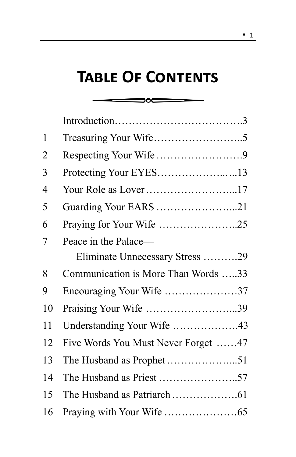## **Table Of Contents**

 $\overline{\phantom{a}}$   $\overline{\phantom{a}}$   $\overline{\phantom{a}}$   $\overline{\phantom{a}}$ 

| 1              |                                     |  |
|----------------|-------------------------------------|--|
| 2              |                                     |  |
| 3              | Protecting Your EYES13              |  |
| $\overline{4}$ |                                     |  |
| 5              | Guarding Your EARS 21               |  |
| 6              | Praying for Your Wife 25            |  |
| 7              | Peace in the Palace—                |  |
|                | Eliminate Unnecessary Stress 29     |  |
| 8              | Communication is More Than Words 33 |  |
| 9              | Encouraging Your Wife 37            |  |
| 10             | Praising Your Wife 39               |  |
| 11             |                                     |  |
| 12             | Five Words You Must Never Forget 47 |  |
| 13             |                                     |  |
| 14             |                                     |  |
| 15             |                                     |  |
| 16             |                                     |  |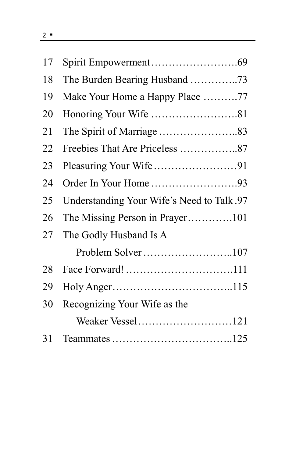| 17 |                                            |
|----|--------------------------------------------|
| 18 | The Burden Bearing Husband 73              |
| 19 | Make Your Home a Happy Place 77            |
| 20 |                                            |
| 21 |                                            |
| 22 |                                            |
| 23 |                                            |
| 24 | Order In Your Home 93                      |
| 25 | Understanding Your Wife's Need to Talk .97 |
| 26 |                                            |
| 27 | The Godly Husband Is A                     |
|    |                                            |
| 28 |                                            |
| 29 |                                            |
| 30 | Recognizing Your Wife as the               |
|    |                                            |
| 31 |                                            |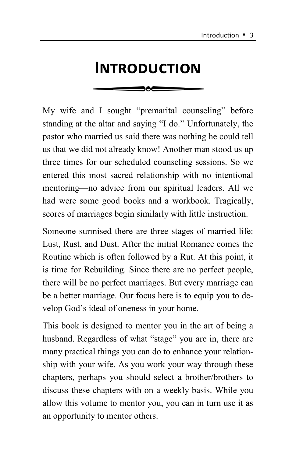# **Introduction**

My wife and I sought "premarital counseling" before standing at the altar and saying "I do." Unfortunately, the pastor who married us said there was nothing he could tell us that we did not already know! Another man stood us up three times for our scheduled counseling sessions. So we entered this most sacred relationship with no intentional mentoring—no advice from our spiritual leaders. All we had were some good books and a workbook. Tragically, scores of marriages begin similarly with little instruction.

Someone surmised there are three stages of married life: Lust, Rust, and Dust. After the initial Romance comes the Routine which is often followed by a Rut. At this point, it is time for Rebuilding. Since there are no perfect people, there will be no perfect marriages. But every marriage can be a better marriage. Our focus here is to equip you to develop God's ideal of oneness in your home.

This book is designed to mentor you in the art of being a husband. Regardless of what "stage" you are in, there are many practical things you can do to enhance your relationship with your wife. As you work your way through these chapters, perhaps you should select a brother/brothers to discuss these chapters with on a weekly basis. While you allow this volume to mentor you, you can in turn use it as an opportunity to mentor others.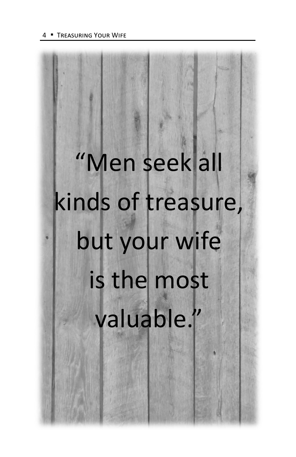# "Men seek all kinds of treasure, but your wife is the most valuable."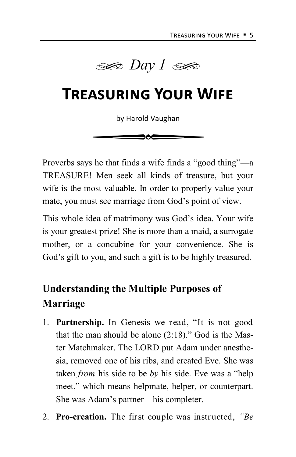

### **Treasuring Your Wife**

by Harold Vaughan

de

Proverbs says he that finds a wife finds a "good thing"—a TREASURE! Men seek all kinds of treasure, but your wife is the most valuable. In order to properly value your mate, you must see marriage from God's point of view.

This whole idea of matrimony was God's idea. Your wife is your greatest prize! She is more than a maid, a surrogate mother, or a concubine for your convenience. She is God's gift to you, and such a gift is to be highly treasured.

#### **Understanding the Multiple Purposes of Marriage**

- 1. **Partnership.** In Genesis we read, "It is not good that the man should be alone (2:18)." God is the Master Matchmaker. The LORD put Adam under anesthesia, removed one of his ribs, and created Eve. She was taken *from* his side to be *by* his side. Eve was a "help meet," which means helpmate, helper, or counterpart. She was Adam's partner—his completer.
- 2. **Pro-creation.** The first couple was instructed, *"Be*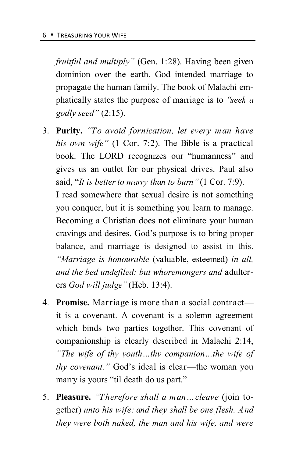*fruitful and multiply"* (Gen. 1:28). Having been given dominion over the earth, God intended marriage to propagate the human family. The book of Malachi emphatically states the purpose of marriage is to *"seek a godly seed"* (2:15).

3. **Purity.** *"To avoid fornication, let every man have his own wife"* (1 Cor. 7:2). The Bible is a practical book. The LORD recognizes our "humanness" and gives us an outlet for our physical drives. Paul also said, "*It is better to marry than to burn"* (1 Cor. 7:9).

I read somewhere that sexual desire is not something you conquer, but it is something you learn to manage. Becoming a Christian does not eliminate your human cravings and desires. God's purpose is to bring proper balance, and marriage is designed to assist in this. *"Marriage is honourable* (valuable, esteemed) *in all, and the bed undefiled: but whoremongers and* adulterers *God will judge"* (Heb. 13:4).

- 4. **Promise.** Marriage is more than a social contract it is a covenant. A covenant is a solemn agreement which binds two parties together. This covenant of companionship is clearly described in Malachi 2:14, *"The wife of thy youth…thy companion…the wife of thy covenant."* God's ideal is clear—the woman you marry is yours "til death do us part."
- 5. **Pleasure.** *"Therefore shall a man…cleave* (join together) *unto his wife: and they shall be one flesh. And they were both naked, the man and his wife, and were*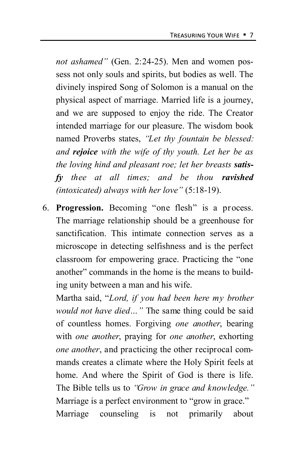*not ashamed"* (Gen. 2:24-25). Men and women possess not only souls and spirits, but bodies as well. The divinely inspired Song of Solomon is a manual on the physical aspect of marriage. Married life is a journey, and we are supposed to enjoy the ride. The Creator intended marriage for our pleasure. The wisdom book named Proverbs states, *"Let thy fountain be blessed: and rejoice with the wife of thy youth. Let her be as the loving hind and pleasant roe; let her breasts satisfy thee at all times; and be thou ravished (intoxicated) always with her love"* (5:18-19).

6. **Progression.** Becoming "one flesh" is a process. The marriage relationship should be a greenhouse for sanctification. This intimate connection serves as a microscope in detecting selfishness and is the perfect classroom for empowering grace. Practicing the "one another" commands in the home is the means to building unity between a man and his wife.

Martha said, "*Lord, if you had been here my brother would not have died…"* The same thing could be said of countless homes. Forgiving *one another*, bearing with *one another*, praying for *one another*, exhorting *one another*, and practicing the other reciprocal commands creates a climate where the Holy Spirit feels at home. And where the Spirit of God is there is life. The Bible tells us to *"Grow in grace and knowledge."*  Marriage is a perfect environment to "grow in grace." Marriage counseling is not primarily about